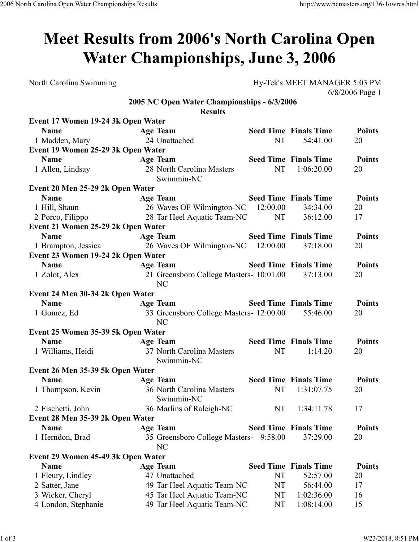## Meet Results from 2006's North Carolina Open **Water Championships, June 3, 2006**

North Carolina Swimming Hy-Tek's MEET MANAGER 5:03 PM 6/8/2006 Page 1

## **2005 NC Open Water Championships - 6/3/2006 Results**

| Event 17 Women 19-24 3k Open Water |                                               |    |                              |               |
|------------------------------------|-----------------------------------------------|----|------------------------------|---------------|
| <b>Name</b>                        | <b>Age Team</b>                               |    | <b>Seed Time Finals Time</b> | <b>Points</b> |
| 1 Madden, Mary                     | 24 Unattached                                 | NT | 54:41.00                     | 20            |
| Event 19 Women 25-29 3k Open Water |                                               |    |                              |               |
| <b>Name</b>                        | <b>Age Team</b>                               |    | <b>Seed Time Finals Time</b> | <b>Points</b> |
| 1 Allen, Lindsay                   | 28 North Carolina Masters<br>Swimmin-NC       | NT | 1:06:20.00                   | 20            |
| Event 20 Men 25-29 2k Open Water   |                                               |    |                              |               |
| <b>Name</b>                        | <b>Age Team</b>                               |    | <b>Seed Time Finals Time</b> | <b>Points</b> |
| 1 Hill, Shaun                      | 26 Waves OF Wilmington-NC 12:00.00            |    | 34:34.00                     | 20            |
| 2 Porco, Filippo                   | 28 Tar Heel Aquatic Team-NC                   | NT | 36:12.00                     | 17            |
| Event 21 Women 25-29 2k Open Water |                                               |    |                              |               |
| <b>Name</b>                        | <b>Age Team</b>                               |    | <b>Seed Time Finals Time</b> | <b>Points</b> |
| 1 Brampton, Jessica                | 26 Waves OF Wilmington-NC 12:00.00            |    | 37:18.00                     | 20            |
| Event 23 Women 19-24 2k Open Water |                                               |    |                              |               |
| <b>Name</b>                        | <b>Age Team</b>                               |    | <b>Seed Time Finals Time</b> | <b>Points</b> |
| 1 Zolot, Alex                      | 21 Greensboro College Masters- 10:01.00<br>NC |    | 37:13.00                     | 20            |
| Event 24 Men 30-34 2k Open Water   |                                               |    |                              |               |
| <b>Name</b>                        | <b>Age Team</b>                               |    | <b>Seed Time Finals Time</b> | <b>Points</b> |
| 1 Gomez, Ed                        | 33 Greensboro College Masters- 12:00.00<br>NC |    | 55:46.00                     | 20            |
| Event 25 Women 35-39 5k Open Water |                                               |    |                              |               |
| <b>Name</b>                        | <b>Age Team</b>                               |    | <b>Seed Time Finals Time</b> | <b>Points</b> |
| 1 Williams, Heidi                  | 37 North Carolina Masters<br>Swimmin-NC       | NT | 1:14.20                      | 20            |
| Event 26 Men 35-39 5k Open Water   |                                               |    |                              |               |
| <b>Name</b>                        | <b>Age Team</b>                               |    | <b>Seed Time Finals Time</b> | <b>Points</b> |
| 1 Thompson, Kevin                  | 36 North Carolina Masters<br>Swimmin-NC       | NT | 1:31:07.75                   | 20            |
| 2 Fischetti, John                  | 36 Marlins of Raleigh-NC                      | NT | 1:34:11.78                   | 17            |
| Event 28 Men 35-39 2k Open Water   |                                               |    |                              |               |
| <b>Name</b>                        | <b>Age Team</b>                               |    | <b>Seed Time Finals Time</b> | <b>Points</b> |
| 1 Herndon, Brad                    | 35 Greensboro College Masters- 9:58.00<br>NC  |    | 37:29.00                     | 20            |
| Event 29 Women 45-49 3k Open Water |                                               |    |                              |               |
| <b>Name</b>                        | Age Team                                      |    | <b>Seed Time Finals Time</b> | <b>Points</b> |
| 1 Fleury, Lindley                  | 47 Unattached                                 | NT | 52:57.00                     | 20            |
| 2 Satter, Jane                     | 49 Tar Heel Aquatic Team-NC                   | NT | 56:44.00                     | 17            |
| 3 Wicker, Cheryl                   | 45 Tar Heel Aquatic Team-NC                   | NT | 1:02:36.00                   | 16            |
| 4 London, Stephanie                | 49 Tar Heel Aquatic Team-NC                   | NT | 1:08:14.00                   | 15            |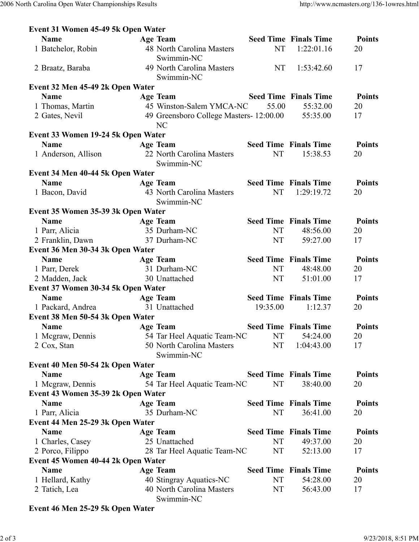| Event 31 Women 45-49 5k Open Water |                                                          |           |                              |               |
|------------------------------------|----------------------------------------------------------|-----------|------------------------------|---------------|
| <b>Name</b>                        | <b>Age Team</b>                                          |           | <b>Seed Time Finals Time</b> | <b>Points</b> |
| 1 Batchelor, Robin                 | 48 North Carolina Masters<br>Swimmin-NC                  | NT        | 1:22:01.16                   | 20            |
| 2 Braatz, Baraba                   | 49 North Carolina Masters<br>Swimmin-NC                  | <b>NT</b> | 1:53:42.60                   | 17            |
| Event 32 Men 45-49 2k Open Water   |                                                          |           |                              |               |
| <b>Name</b>                        | Age Team                                                 |           | <b>Seed Time Finals Time</b> | <b>Points</b> |
| 1 Thomas, Martin                   | 45 Winston-Salem YMCA-NC                                 | 55.00     | 55:32.00                     | 20            |
| 2 Gates, Nevil                     | 49 Greensboro College Masters-12:00.00<br>N <sub>C</sub> | 55:35.00  | 17                           |               |
| Event 33 Women 19-24 5k Open Water |                                                          |           |                              |               |
| <b>Name</b>                        | <b>Age Team</b>                                          |           | <b>Seed Time Finals Time</b> | <b>Points</b> |
| 1 Anderson, Allison                | 22 North Carolina Masters<br>Swimmin-NC                  | <b>NT</b> | 15:38.53                     | 20            |
| Event 34 Men 40-44 5k Open Water   |                                                          |           |                              |               |
| <b>Name</b>                        | <b>Age Team</b>                                          |           | <b>Seed Time Finals Time</b> | <b>Points</b> |
| 1 Bacon, David                     | 43 North Carolina Masters<br>Swimmin-NC                  | <b>NT</b> | 1:29:19.72                   | 20            |
| Event 35 Women 35-39 3k Open Water |                                                          |           |                              |               |
| <b>Name</b>                        | <b>Age Team</b>                                          |           | <b>Seed Time Finals Time</b> | <b>Points</b> |
| 1 Parr, Alicia                     | 35 Durham-NC                                             | <b>NT</b> | 48:56.00                     | 20            |
| 2 Franklin, Dawn                   | 37 Durham-NC                                             | <b>NT</b> | 59:27.00                     | 17            |
| Event 36 Men 30-34 3k Open Water   |                                                          |           |                              |               |
| <b>Name</b>                        | <b>Age Team</b>                                          |           | <b>Seed Time Finals Time</b> | <b>Points</b> |
| 1 Parr, Derek                      | 31 Durham-NC                                             | <b>NT</b> | 48:48.00                     | 20            |
| 2 Madden, Jack                     | 30 Unattached                                            | <b>NT</b> | 51:01.00                     | 17            |
| Event 37 Women 30-34 5k Open Water |                                                          |           |                              |               |
| <b>Name</b>                        | <b>Age Team</b>                                          |           | <b>Seed Time Finals Time</b> | <b>Points</b> |
| 1 Packard, Andrea                  | 31 Unattached                                            | 19:35.00  | 1:12.37                      | 20            |
| Event 38 Men 50-54 3k Open Water   |                                                          |           |                              |               |
| <b>Name</b>                        | <b>Age Team</b>                                          |           | <b>Seed Time Finals Time</b> | <b>Points</b> |
| 1 Mcgraw, Dennis                   | 54 Tar Heel Aquatic Team-NC                              | NT        | 54:24.00                     | 20            |
| 2 Cox, Stan                        | 50 North Carolina Masters                                | <b>NT</b> | 1:04:43.00                   | 17            |
|                                    | Swimmin-NC                                               |           |                              |               |
| Event 40 Men 50-54 2k Open Water   |                                                          |           |                              |               |
| <b>Name</b>                        | <b>Age Team</b>                                          |           | <b>Seed Time Finals Time</b> | <b>Points</b> |
| 1 Megraw, Dennis                   | 54 Tar Heel Aquatic Team-NC                              | NT        | 38:40.00                     | 20            |
| Event 43 Women 35-39 2k Open Water |                                                          |           |                              |               |
| <b>Name</b>                        | <b>Age Team</b>                                          |           | <b>Seed Time Finals Time</b> | <b>Points</b> |
| 1 Parr, Alicia                     | 35 Durham-NC                                             | NT        | 36:41.00                     | 20            |
| Event 44 Men 25-29 3k Open Water   |                                                          |           |                              |               |
| <b>Name</b>                        | <b>Age Team</b>                                          |           | <b>Seed Time Finals Time</b> | <b>Points</b> |
| 1 Charles, Casey                   | 25 Unattached                                            | NT        | 49:37.00                     | 20            |
| 2 Porco, Filippo                   | 28 Tar Heel Aquatic Team-NC                              | NT        | 52:13.00                     | 17            |
| Event 45 Women 40-44 2k Open Water |                                                          |           |                              |               |
| <b>Name</b>                        | <b>Age Team</b>                                          |           | <b>Seed Time Finals Time</b> | <b>Points</b> |
| 1 Hellard, Kathy                   | 40 Stingray Aquatics-NC                                  | NT        | 54:28.00                     | 20            |
| 2 Tatich, Lea                      | 40 North Carolina Masters<br>Swimmin-NC                  | NT        | 56:43.00                     | 17            |

## **Event 46 Men 25-29 5k Open Water**